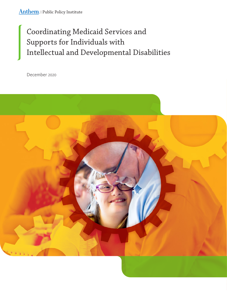# Coordinating Medicaid Services and Supports for Individuals with Intellectual and Developmental Disabilities

December 2020

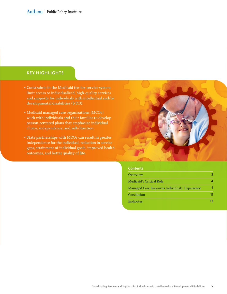### KEY HIGHLIGHTS

- Constraints in the Medicaid fee-for-service system limit access to individualized, high-quality services and supports for individuals with intellectual and/or developmental disabilities (I/DD).
- Medicaid managed care organizations (MCOs) work with individuals and their families to develop person-centered plans that emphasize individual choice, independence, and self-direction.
- State partnerships with MCOs can result in greater independence for the individual, reduction in service gaps, attainment of individual goals, improved health outcomes, and better quality of life.



#### **Contents**

| Overview                                      |  |
|-----------------------------------------------|--|
| Medicaid's Critical Role                      |  |
| Managed Care Improves Individuals' Experience |  |
| Conclusion                                    |  |
| Endnotes                                      |  |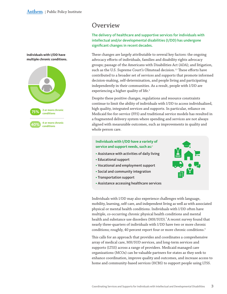<span id="page-2-0"></span>**Individuals with I/DD have multiple chronic conditions.**



## **Overview**

The delivery of healthcare and supportive services for individuals with intellectual and/or developmental disabilities (I/DD) has undergone significant changes in recent decades.

These changes are largely attributable to several key factors: the ongoing advocacy efforts of individuals, families and disability rights advocacy groups; passage of the Americans with Disabilities Act (ADA); and litigation, such as the U.S. Supreme Court's Olmstead decision.<sup>1,2</sup> These efforts have contributed to a broader set of services and supports that promote informed decision-making, self-determination, and people living and participating independently in their communities. As a result, people with I/DD are experiencing a higher quality of life.<sup>3</sup>

Despite these positive changes, regulations and resource constraints continue to limit the ability of individuals with I/DD to access individualized, high quality, integrated services and supports. In particular, reliance on Medicaid fee-for-service (FFS) and traditional service models has resulted in a fragmented delivery system where spending and services are not always aligned with measurable outcomes, such as improvements in quality and whole person care.

### **Individuals with I/DD have a variety of service and support needs, such as:**<sup>4</sup>

- Assistance with activities of daily living
- Educational support
- Vocational and employment support
- Social and community integration
- Transportation support
- Assistance accessing healthcare services

Individuals with I/DD may also experience challenges with language, mobility, learning, self-care, and independent living as well as with associated physical or mental health conditions. Individuals with I/DD often have multiple, co-occurring chronic physical health conditions and mental health and substance use disorders (MH/SUD).<sup>5</sup> A recent survey found that nearly three-quarters of individuals with I/DD have two or more chronic conditions; roughly, 40 percent report four or more chronic conditions.<sup>6</sup>

This calls for an approach that provides and coordinates a comprehensive array of medical care, MH/SUD services, and long-term services and supports (LTSS) across a range of providers. Medicaid managed care organizations (MCOs) can be valuable partners for states as they seek to enhance coordination, improve quality and outcomes, and increase access to home and community-based services (HCBS) to support people using LTSS.

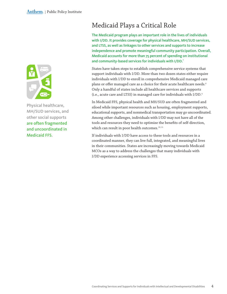<span id="page-3-0"></span>

Physical healthcare, MH/SUD services, and other social supports are often fragmented and uncoordinated in Medicaid FFS.

## Medicaid Plays a Critical Role

The Medicaid program plays an important role in the lives of individuals with I/DD. It provides coverage for physical healthcare, MH/SUD services, and LTSS, as well as linkages to other services and supports to increase independence and promote meaningful community participation. Overall, Medicaid accounts for more than 75 percent of spending on institutional and community-based services for individuals with I/DD.<sup>7</sup>

States have taken steps to establish comprehensive service systems that support individuals with I/DD. More than two dozen states either require individuals with I/DD to enroll in comprehensive Medicaid managed care plans or offer managed care as a choice for their acute healthcare needs.<sup>8</sup> Only a handful of states include all healthcare services and supports (i.e., acute care and LTSS) in managed care for individuals with I/DD. 9

In Medicaid FFS, physical health and MH/SUD are often fragmented and siloed while important resources such as housing, employment supports, educational supports, and nonmedical transportation may go uncoordinated. Among other challenges, individuals with I/DD may not have all of the tools and resources they need to optimize the benefits of self-direction, which can result in poor health outcomes.<sup>10, 11</sup>

If individuals with I/DD have access to these tools and resources in a coordinated manner, they can live full, integrated, and meaningful lives in their communities. States are increasingly moving towards Medicaid MCOs as a way to address the challenges that many individuals with I/DD experience accessing services in FFS.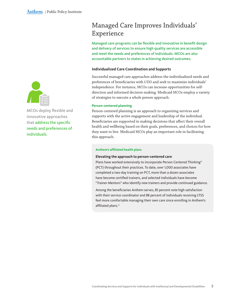<span id="page-4-0"></span>

MCOs deploy flexible and innovative approaches that address the specific needs and preferences of individuals.

## Managed Care Improves Individuals' Experience

Managed care programs can be flexible and innovative in benefit design and delivery of services to ensure high quality services are accessible and meet the needs and preferences of individuals. MCOs are also accountable partners to states in achieving desired outcomes.

#### **Individualized Care Coordination and Supports**

Successful managed care approaches address the individualized needs and preferences of beneficiaries with I/DD and seek to maximize individuals' independence. For instance, MCOs can increase opportunities for selfdirection and informed decision-making. Medicaid MCOs employ a variety of strategies to execute a whole person approach.

#### **Person-centered planning**

Person-centered planning is an approach to organizing services and supports with the active engagement and leadership of the individual. Beneficiaries are supported in making decisions that affect their overall health and wellbeing based on their goals, preferences, and choices for how they want to live. Medicaid MCOs play an important role in facilitating this approach.

#### **Anthem's affiliated health plans**

#### **Elevating the approach to person-centered care**

Plans have worked extensively to incorporate Person Centered Thinking<sup>®</sup> (PCT) throughout their practices. To date, over 1,000 associates have completed a two-day training on PCT, more than a dozen associates have become certified trainers, and selected individuals have become "Trainer-Mentors" who identify new trainers and provide continued guidance.

Among the beneficiaries Anthem serves, 85 percent note high satisfaction with their service coordinator and 88 percent of individuals receiving LTSS feel more comfortable managing their own care since enrolling in Anthem's affiliated plans.<sup>12</sup>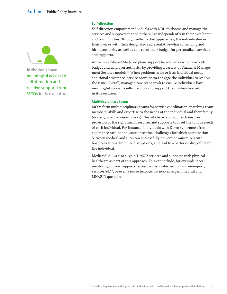

Individuals have meaningful access to self-direction and receive support from MCOs in its execution.

#### **Self-direction**

Self-direction empowers individuals with I/DD to choose and manage the services and supports that help them live independently in their own home and communities. Through self-directed approaches, the individual—on their own or with their designated representative—has scheduling and hiring authority as well as control of their budget for personalized services and supports.

Anthem's affiliated Medicaid plans support beneficiaries who have both budget and employer authority by providing a variety of Financial Management Services models.<sup>13</sup> When problems arise or if an individual needs additional assistance, service coordinators engage the individual to resolve the issue. Overall, managed care plans work to ensure individuals have meaningful access to self-direction and support them, when needed, in its execution.

#### **Multidisciplinary teams**

MCOs form multidisciplinary teams for service coordination, matching team members' skills and expertise to the needs of the individual and their family (or designated representatives). This whole person approach ensures provision of the right mix of services and supports to meet the unique needs of each individual. For instance, individuals with Down syndrome often experience cardiac and gastrointestinal challenges for which coordination between medical and LTSS can successfully prevent or minimize acute hospitalizations, limit life disruptions, and lead to a better quality of life for the individual.

Medicaid MCOs also align MH/SUD services and supports with physical healthcare as part of this approach. This can include, for example, peer mentoring or peer supports, access to crisis intervention and emergency services 24/7, or even a nurse helpline for non-emergent medical and MH/SUD questions.<sup>14</sup>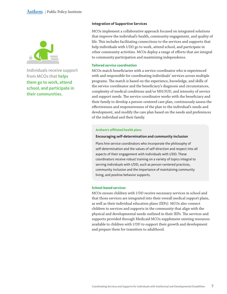

Individuals receive support from MCOs that helps them go to work, attend school, and participate in their communities.

#### **Integration of Supportive Services**

MCOs implement a collaborative approach focused on integrated solutions that improve the individual's health, community engagement, and quality of life. This includes facilitating connections to the services and supports that help individuals with I/DD go to work, attend school, and participate in other community activities. MCOs deploy a range of efforts that are integral to community participation and maximizing independence.

#### **Tailored service coordination**

MCOs match beneficiaries with a service coordinator who is experienced with and responsible for coordinating individuals' services across multiple programs. The match is based on the experience, knowledge, and skills of the service coordinator and the beneficiary's diagnosis and circumstances, complexity of medical conditions and/or MH/SUD, and intensity of service and support needs. The service coordinator works with the beneficiary and their family to develop a person-centered care plan, continuously assess the effectiveness and responsiveness of the plan to the individual's needs and development, and modify the care plan based on the needs and preferences of the individual and their family.

#### **Anthem's affiliated health plans**

#### **Encouraging self-determination and community inclusion**

Plans hire service coordinators who incorporate the philosophy of self-determination and the values of self-direction and respect into all aspects of their engagement with individuals with I/DD. These coordinators receive robust training on a variety of topics integral to serving individuals with I/DD, such as person-centered practices, community inclusion and the importance of maintaining community living, and positive behavior supports.

#### **School-based services**

MCOs ensure children with I/DD receive necessary services in school and that those services are integrated into their overall medical support plans, as well as their individual education plans (IEPs). MCOs also connect children to services and supports in the community that align with the physical and developmental needs outlined in their IEPs. The services and supports provided through Medicaid MCOs supplement existing resources available to children with I/DD to support their growth and development and prepare them for transition to adulthood.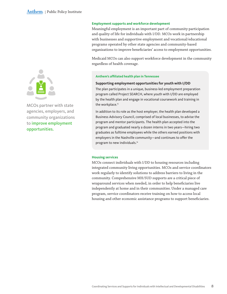

MCOs partner with state agencies, employers, and community organizations to improve employment opportunities.

#### **Employment supports and workforce development**

Meaningful employment is an important part of community participation and quality of life for individuals with I/DD. MCOs work in partnership with businesses and supportive employment and vocational/educational programs operated by other state agencies and community-based organizations to improve beneficiaries' access to employment opportunities.

Medicaid MCOs can also support workforce development in the community regardless of health coverage.

#### **Anthem's affiliated health plan in Tennessee**

#### **Supporting employment opportunities for youth with I/DD**

The plan participates in a unique, business-led employment preparation program called Project SEARCH, where youth with I/DD are employed by the health plan and engage in vocational coursework and training in the workplace.<sup>15</sup>

In addition to its role as the host employer, the health plan developed a Business Advisory Council, comprised of local businesses, to advise the program and mentor participants. The health plan accepted into the program and graduated nearly a dozen interns in two years—hiring two graduates as fulltime employees while the others earned positions with employers in the Nashville community—and continues to offer the program to new individuals.<sup>16</sup>

#### **Housing services**

MCOs connect individuals with I/DD to housing resources including integrated community living opportunities. MCOs and service coordinators work regularly to identify solutions to address barriers to living in the community. Comprehensive MH/SUD supports are a critical piece of wraparound services when needed, in order to help beneficiaries live independently at home and in their communities. Under a managed care program, service coordinators receive training on how to access local housing and other economic assistance programs to support beneficiaries.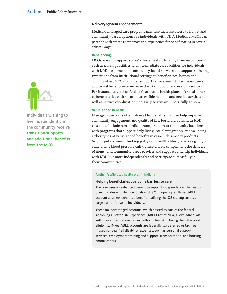

Individuals wishing to live independently in the community receive transition supports and additional benefits from the MCO.

#### **Delivery System Enhancements**

Medicaid managed care programs may also increase access to home- and community-based options for individuals with I/DD. Medicaid MCOs can partner with states to improve the experience for beneficiaries in several critical ways.

#### **Rebalancing**

MCOs work to support states' efforts to shift funding from institutions, such as nursing facilities and intermediate care facilities for individuals with I/DD, to home- and community-based services and supports. During transitions from institutional settings to beneficiaries' homes and communities, MCOs can offer support services—and in some instances additional benefits—to increase the likelihood of successful transitions. For instance, several of Anthem's affiliated health plans offer assistance to beneficiaries with securing accessible housing and needed services as well as service coordination necessary to remain successfully at home.<sup>17</sup>

#### **Value-added benefits**

Managed care plans offer value-added benefits that can help improve community engagement and quality of life. For individuals with I/DD, this could include non-medical transportation to community locations with programs that support daily living, social integration, and wellbeing. Other types of value-added benefits may include sensory products (e.g., fidget spinners, thinking putty) and healthy lifestyle aids (e.g.,digital scale, home blood pressure cuff). These efforts complement the delivery of home- and community-based services and supports and help individuals with I/DD live more independently and participate successfully in their communities.

#### **Anthem's affiliated health plan in Indiana**

#### **Helping beneficiaries overcome barriers to care**

The plan uses an enhanced benefit to support independence. The health plan provides eligible individuals with \$25 to open up an INvestABLE account as a new enhanced benefit, realizing the \$25 startup cost is a large barrier for some individuals.

These tax-advantaged accounts, which passed as part of the federal Achieving a Better Life Experience (ABLE) Act of 2014, allow individuals with disabilities to save money without the risk of losing their Medicaid eligibility. INvestABLE accounts are federally tax deferred or tax-free if used for qualified disability expenses, such as personal support services, employment training and support, transportation, and housing, among others.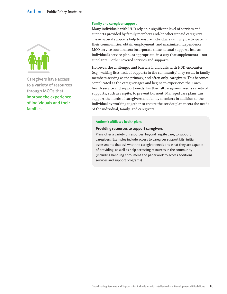

Caregivers have access to a variety of resources through MCOs that improve the experience of individuals and their families.

#### **Family and caregiver support**

Many individuals with I/DD rely on a significant level of services and supports provided by family members and/or other unpaid caregivers. These natural supports help to ensure individuals can fully participate in their communities, obtain employment, and maximize independence. MCO service coordinators incorporate these natural supports into an individual's service plan, as appropriate, in a way that supplements—not supplants—other covered services and supports.

However, the challenges and barriers individuals with I/DD encounter (e.g., waiting lists, lack of supports in the community) may result in family members serving as the primary, and often only, caregivers. This becomes complicated as the caregiver ages and begins to experience their own health service and support needs. Further, all caregivers need a variety of supports, such as respite, to prevent burnout. Managed care plans can support the needs of caregivers and family members in addition to the individual by working together to ensure the service plan meets the needs of the individual, family, and caregivers.

#### **Anthem's affiliated health plans**

#### **Providing resources to support caregivers**

Plans offer a variety of resources, beyond respite care, to support caregivers. Examples include access to caregiver support kits, initial assessments that ask what the caregiver needs and what they are capable of providing, as well as help accessing resources in the community (including handling enrollment and paperwork to access additional services and support programs).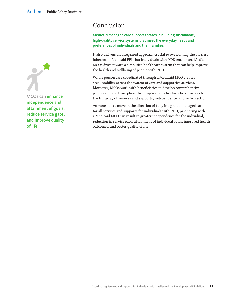<span id="page-10-0"></span>

MCOs can enhance independence and attainment of goals, reduce service gaps, and improve quality of life.

## Conclusion

Medicaid managed care supports states in building sustainable, high-quality service systems that meet the everyday needs and preferences of individuals and their families.

It also delivers an integrated approach crucial to overcoming the barriers inherent in Medicaid FFS that individuals with I/DD encounter. Medicaid MCOs drive toward a simplified healthcare system that can help improve the health and wellbeing of people with I/DD.

Whole person care coordinated through a Medicaid MCO creates accountability across the system of care and supportive services. Moreover, MCOs work with beneficiaries to develop comprehensive, person-centered care plans that emphasize individual choice, access to the full array of services and supports, independence, and self-direction.

As more states move in the direction of fully integrated managed care for all services and supports for individuals with I/DD, partnering with a Medicaid MCO can result in greater independence for the individual, reduction in service gaps, attainment of individual goals, improved health outcomes, and better quality of life.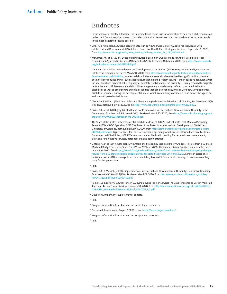## <span id="page-11-0"></span>Endnotes

<sup>1</sup> In the landmark Olmstead decision, the Supreme Court found institutionalization to be a form of discrimination under the ADA and required states to provide community alternatives to institutional services to serve people in the most integrated setting possible.

- <sup>2</sup> Lind, A. & Archibald, N. (2013, February). Structuring New Service Delivery Models for Individuals with Intellectual and Developmental Disabilities. Center for Health Care Strategies. Retrieved September 9, 2020, from [http://www.chcs.org/media/New\\_Service\\_Delivery\\_Models\\_for\\_IDD\\_](http://www.chcs.org/media/New_Service_Delivery_Models_for_IDD_020413.pdf)020413.pdf.
- <sup>3</sup> McCarron, M., et al. (2019). Effect of Deinstitutionalization on Quality of Life for Adults with Intellectual Disabilities: A Systematic Review. *BMJ Open* 9: e025735. Retrieved October 5, 2020, from [https://www.nasddds.](https://www.nasddds.org/uploads/documents/e025735.full.pdf) [org/uploads/documents/e](https://www.nasddds.org/uploads/documents/e025735.full.pdf)025735.full.pdf.
- <sup>4</sup> American Association on Intellectual and Developmental Disabilities. (2019). Frequently Asked Questions on Intellectual Disability. Retrieved March 10, 2020, from [https://www.aaidd.org/intellectual-disability/definition/](https://www.aaidd.org/intellectual-disability/definition/faqs-on-intellectual-disability) [faqs-on-intellectual-disability.](https://www.aaidd.org/intellectual-disability/definition/faqs-on-intellectual-disability) Intellectual disabilities are generally characterized by significant limitations in both intellectual functioning—such as learning, reasoning and problem solving—and in adaptive behavior, which includes social and practical skills. To qualify as an intellectual disability, the disability is usually required to originate before the age of 18. Developmental disabilities are generally more broadly defined to include intellectual disabilities as well as other severe chronic disabilities that can be cognitive, physical, or both. Developmental disabilities manifest during the developmental phase, which is commonly considered to be before the age of 22, and are anticipated to be life-long.
- <sup>5</sup> Chapman, S. & Wu, L. (2012, July). Substance Abuse among Individuals with Intellectual Disability. *Res Dev Disabil 33*(4), 1147-1156. Retrieved July 6, 2020, from [https://www.ncbi.nlm.nih.gov/pmc/articles/PMC](https://www.ncbi.nlm.nih.gov/pmc/articles/PMC3328139/)3328139/.
- <sup>6</sup> Ervin, D.A., et al. (2014, July 15). Healthcare for Persons with Intellectual and Developmental Disability in the Community. Frontiers in *Public Health 2*(83). Retrieved March 10, 2020, from [http://www.ncbi.nlm.nih.gov/pmc/](http://www.ncbi.nlm.nih.gov/pmc/articles/PMC4098023/pdf/fpubh-02-00083.pdf) [articles/PMC](http://www.ncbi.nlm.nih.gov/pmc/articles/PMC4098023/pdf/fpubh-02-00083.pdf)4098023/pdf/fpubh-02-00083.pdf.
- <sup>7</sup> The State of the States in Developmental Disabilities Project. (2017). Federal-State I/DD Medicaid Spending Percent of Total I/DD Spending: 2015. The State of the States in Intellectual and Developmental Disabilities, University of Colorado. Retrieved January 1, 2020, from [http://stateofthestates.org/index.php/create-a-chart-](http://stateofthestates.org/index.php/create-a-chart-2017#chartControls)2017[#chartControls](http://stateofthestates.org/index.php/create-a-chart-2017#chartControls). Figure reflects federal-state Medicaid spending for all sizes of Intermediate Care Facilities for Intellectual Disabilities, HCBS Waivers, and related Medicaid spending for targeted case management, clinic and rehabilitative services, personal care, and administration.
- <sup>8</sup> Gifford, K., et al. (2019, October). A View from the States: Key Medicaid Policy Changes: Results from a 50-State Medicaid Budget Survey for State Fiscal Years 2019 and 2020. The Henry J. Kaiser Family Foundation. Retrieved January 10, 2020, from [https://www.kff.org/medicaid/report/a-view-from-the-states-key-medicaid-policy-changes](https://www.kff.org/medicaid/report/a-view-from-the-states-key-medicaid-policy-changes-results-from-a-50-state-medicaid-budget-survey-for-state-fiscal-years-2019-and-2020/)results-from-a-50[-state-medicaid-budget-survey-for-state-fiscal-years-](https://www.kff.org/medicaid/report/a-view-from-the-states-key-medicaid-policy-changes-results-from-a-50-state-medicaid-budget-survey-for-state-fiscal-years-2019-and-2020/)2019-and-2020/. Nineteen states enroll individuals with I/DD in managed care on a mandatory basis while 6 states offer managed care on a voluntary basis for this population.

<sup>9</sup> Ibid.

- <sup>10</sup> Ervin, D.A. & Merrick, J. (2014, September 24). Intellectual and Developmental Disability: Healthcare Financing. *Frontiers in Public Health 2*(160). Retrieved March 11, 2020, from [http://www.ncbi.nlm.nih.gov/pmc/articles/](http://www.ncbi.nlm.nih.gov/pmc/articles/PMC4173221/pdf/fpubh-02-00160.pdf) PMC4173221[/pdf/fpubh-](http://www.ncbi.nlm.nih.gov/pmc/articles/PMC4173221/pdf/fpubh-02-00160.pdf)02-00160.pdf.
- <sup>11</sup> Ramlet, M. & Lafferty, C. (2011, June 14). Moving Beyond Fee-For-Service: The Case for Managed Care in Medicaid. American Action Forum. Retrieved January 10, 2020, from [http://americanactionforum.org/sites/default/files/](http://americanactionforum.org/sites/default/files/AAF-OHC_Managed%20Medicaid_Final_6-14-2011_1_0.pdf) [AAF-OHC\\_Managed%](http://americanactionforum.org/sites/default/files/AAF-OHC_Managed%20Medicaid_Final_6-14-2011_1_0.pdf)20Medicaid\_Final\_6-14-2011\_1\_0.pdf.
- <sup>12</sup> Data from Anthem, Inc. subject matter experts.

 $13$  Ibid.

- <sup>14</sup> Program information from Anthem, Inc. subject matter experts.
- <sup>15</sup> For more information on Project SEARCH, see: [https://www.projectsearch.us/.](https://www.projectsearch.us/)
- <sup>16</sup> Program information from Anthem, Inc. subject matter experts.
- $17$  Ibid.